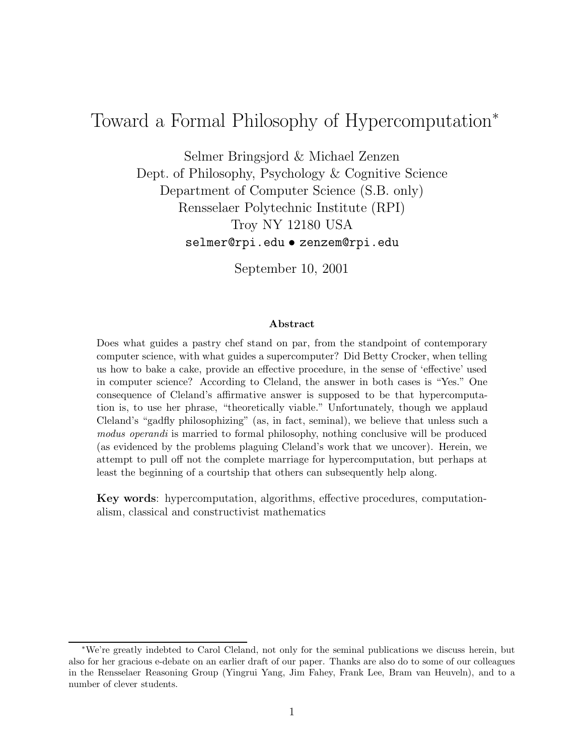# Toward a Formal Philosophy of Hypercomputation<sup>∗</sup>

Selmer Bringsjord & Michael Zenzen Dept. of Philosophy, Psychology & Cognitive Science Department of Computer Science (S.B. only) Rensselaer Polytechnic Institute (RPI) Troy NY 12180 USA selmer@rpi.edu • zenzem@rpi.edu

September 10, 2001

#### **Abstract**

Does what guides a pastry chef stand on par, from the standpoint of contemporary computer science, with what guides a supercomputer? Did Betty Crocker, when telling us how to bake a cake, provide an effective procedure, in the sense of 'effective' used in computer science? According to Cleland, the answer in both cases is "Yes." One consequence of Cleland's affirmative answer is supposed to be that hypercomputation is, to use her phrase, "theoretically viable." Unfortunately, though we applaud Cleland's "gadfly philosophizing" (as, in fact, seminal), we believe that unless such a *modus operandi* is married to formal philosophy, nothing conclusive will be produced (as evidenced by the problems plaguing Cleland's work that we uncover). Herein, we attempt to pull off not the complete marriage for hypercomputation, but perhaps at least the beginning of a courtship that others can subsequently help along.

**Key words**: hypercomputation, algorithms, effective procedures, computationalism, classical and constructivist mathematics

<sup>∗</sup>We're greatly indebted to Carol Cleland, not only for the seminal publications we discuss herein, but also for her gracious e-debate on an earlier draft of our paper. Thanks are also do to some of our colleagues in the Rensselaer Reasoning Group (Yingrui Yang, Jim Fahey, Frank Lee, Bram van Heuveln), and to a number of clever students.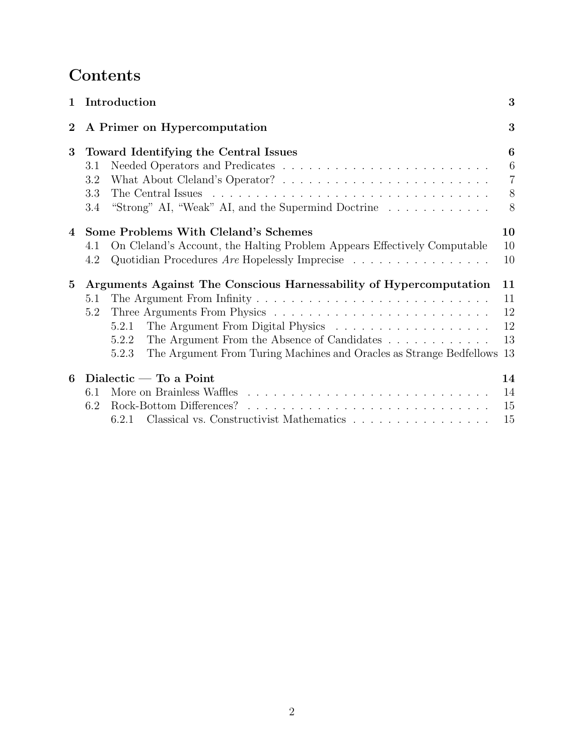# **Contents**

| 1               | Introduction<br>A Primer on Hypercomputation                                                                                                                                                                                      |                                             |  |  |
|-----------------|-----------------------------------------------------------------------------------------------------------------------------------------------------------------------------------------------------------------------------------|---------------------------------------------|--|--|
| $\overline{2}$  |                                                                                                                                                                                                                                   |                                             |  |  |
| 3               | Toward Identifying the Central Issues<br>3.1<br>3.2<br>3.3                                                                                                                                                                        | 6<br>$6\phantom{.}6$<br>$\overline{7}$<br>8 |  |  |
|                 | "Strong" AI, "Weak" AI, and the Supermind Doctrine $\dots \dots \dots$<br>3.4                                                                                                                                                     | 8                                           |  |  |
| $\overline{4}$  | Some Problems With Cleland's Schemes<br>On Cleland's Account, the Halting Problem Appears Effectively Computable<br>4.1<br>Quotidian Procedures <i>Are</i> Hopelessly Imprecise $\ldots \ldots \ldots \ldots \ldots$<br>4.2       | 10<br>10<br>10                              |  |  |
| $5\overline{)}$ | Arguments Against The Conscious Harnessability of Hypercomputation<br>5.1<br>5.2<br>5.2.1<br>The Argument From the Absence of Candidates<br>5.2.2<br>The Argument From Turing Machines and Oracles as Strange Bedfellows<br>5.2.3 | 11<br>11<br>12<br>12<br>13<br>13            |  |  |
| 6               | Dialectic — To a Point<br>More on Brainless Waffles<br>6.1<br>6.2<br>Classical vs. Constructivist Mathematics<br>6.2.1                                                                                                            | 14<br>14<br>15<br>15                        |  |  |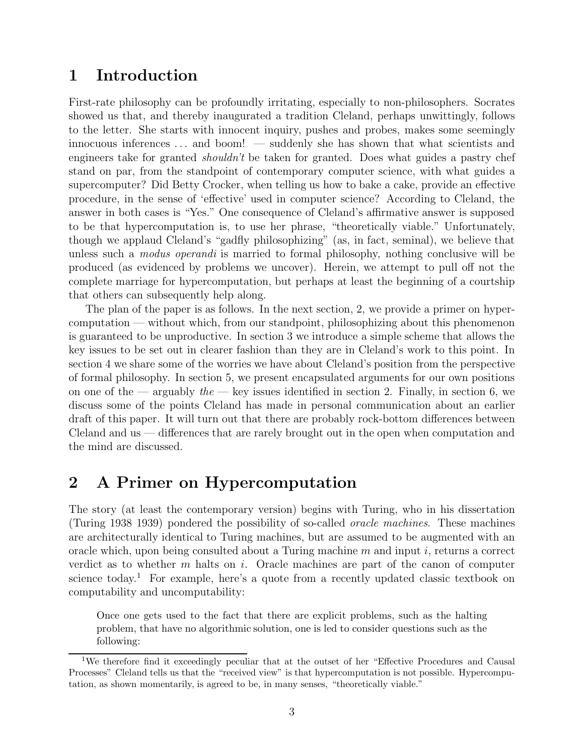## **1 Introduction**

First-rate philosophy can be profoundly irritating, especially to non-philosophers. Socrates showed us that, and thereby inaugurated a tradition Cleland, perhaps unwittingly, follows to the letter. She starts with innocent inquiry, pushes and probes, makes some seemingly innocuous inferences ... and boom! — suddenly she has shown that what scientists and engineers take for granted shouldn't be taken for granted. Does what guides a pastry chef stand on par, from the standpoint of contemporary computer science, with what guides a supercomputer? Did Betty Crocker, when telling us how to bake a cake, provide an effective procedure, in the sense of 'effective' used in computer science? According to Cleland, the answer in both cases is "Yes." One consequence of Cleland's affirmative answer is supposed to be that hypercomputation is, to use her phrase, "theoretically viable." Unfortunately, though we applaud Cleland's "gadfly philosophizing" (as, in fact, seminal), we believe that unless such a *modus operandi* is married to formal philosophy, nothing conclusive will be produced (as evidenced by problems we uncover). Herein, we attempt to pull off not the complete marriage for hypercomputation, but perhaps at least the beginning of a courtship that others can subsequently help along.

The plan of the paper is as follows. In the next section, 2, we provide a primer on hypercomputation — without which, from our standpoint, philosophizing about this phenomenon is guaranteed to be unproductive. In section 3 we introduce a simple scheme that allows the key issues to be set out in clearer fashion than they are in Cleland's work to this point. In section 4 we share some of the worries we have about Cleland's position from the perspective of formal philosophy. In section 5, we present encapsulated arguments for our own positions on one of the — arguably the — key issues identified in section 2. Finally, in section 6, we discuss some of the points Cleland has made in personal communication about an earlier draft of this paper. It will turn out that there are probably rock-bottom differences between Cleland and us — differences that are rarely brought out in the open when computation and the mind are discussed.

## **2 A Primer on Hypercomputation**

The story (at least the contemporary version) begins with Turing, who in his dissertation (Turing 1938 1939) pondered the possibility of so-called oracle machines. These machines are architecturally identical to Turing machines, but are assumed to be augmented with an oracle which, upon being consulted about a Turing machine  $m$  and input i, returns a correct verdict as to whether  $m$  halts on  $i$ . Oracle machines are part of the canon of computer science today.<sup>1</sup> For example, here's a quote from a recently updated classic textbook on computability and uncomputability:

Once one gets used to the fact that there are explicit problems, such as the halting problem, that have no algorithmic solution, one is led to consider questions such as the following:

<sup>&</sup>lt;sup>1</sup>We therefore find it exceedingly peculiar that at the outset of her "Effective Procedures and Causal" Processes" Cleland tells us that the "received view" is that hypercomputation is not possible. Hypercomputation, as shown momentarily, is agreed to be, in many senses, "theoretically viable."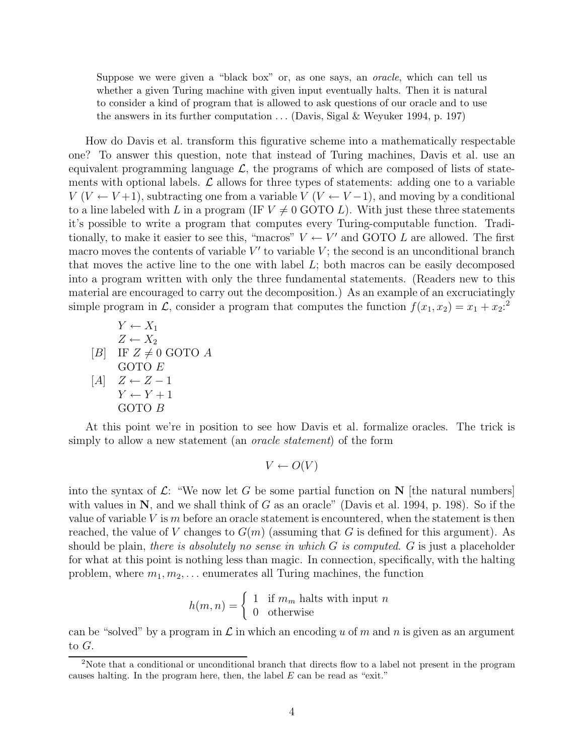Suppose we were given a "black box" or, as one says, an *oracle*, which can tell us whether a given Turing machine with given input eventually halts. Then it is natural to consider a kind of program that is allowed to ask questions of our oracle and to use the answers in its further computation  $\dots$  (Davis, Sigal & Weyuker 1994, p. 197)

How do Davis et al. transform this figurative scheme into a mathematically respectable one? To answer this question, note that instead of Turing machines, Davis et al. use an equivalent programming language  $\mathcal{L}$ , the programs of which are composed of lists of statements with optional labels.  $\mathcal L$  allows for three types of statements: adding one to a variable  $V$  ( $V \leftarrow V+1$ ), subtracting one from a variable  $V$  ( $V \leftarrow V-1$ ), and moving by a conditional to a line labeled with L in a program (IF  $V \neq 0$  GOTO L). With just these three statements it's possible to write a program that computes every Turing-computable function. Traditionally, to make it easier to see this, "macros"  $V \leftarrow V'$  and GOTO L are allowed. The first macro moves the contents of variable  $V'$  to variable  $V$ ; the second is an unconditional branch that moves the active line to the one with label  $L$ ; both macros can be easily decomposed into a program written with only the three fundamental statements. (Readers new to this material are encouraged to carry out the decomposition.) As an example of an excruciatingly simple program in  $\mathcal{L}$ , consider a program that computes the function  $f(x_1, x_2) = x_1 + x_2$ :

$$
Y \leftarrow X_1
$$
  
\n
$$
Z \leftarrow X_2
$$
  
\n
$$
[B]
$$
 IF  $Z \neq 0$  GOTO A  
\nGOTO E  
\n
$$
[A]
$$
  
\n
$$
Z \leftarrow Z - 1
$$
  
\n
$$
Y \leftarrow Y + 1
$$
  
\nGOTO B

At this point we're in position to see how Davis et al. formalize oracles. The trick is simply to allow a new statement (an *oracle statement*) of the form

$$
V \leftarrow O(V)
$$

into the syntax of  $\mathcal{L}$ : "We now let G be some partial function on **N** [the natural numbers] with values in  $\mathbb{N}$ , and we shall think of G as an oracle" (Davis et al. 1994, p. 198). So if the value of variable  $V$  is  $m$  before an oracle statement is encountered, when the statement is then reached, the value of V changes to  $G(m)$  (assuming that G is defined for this argument). As should be plain, there is absolutely no sense in which  $G$  is computed.  $G$  is just a placeholder for what at this point is nothing less than magic. In connection, specifically, with the halting problem, where  $m_1, m_2, \ldots$  enumerates all Turing machines, the function

$$
h(m, n) = \begin{cases} 1 & \text{if } m_m \text{ halts with input } n \\ 0 & \text{otherwise} \end{cases}
$$

can be "solved" by a program in  $\mathcal L$  in which an encoding u of m and n is given as an argument to G.

<sup>&</sup>lt;sup>2</sup>Note that a conditional or unconditional branch that directs flow to a label not present in the program causes halting. In the program here, then, the label  $E$  can be read as "exit."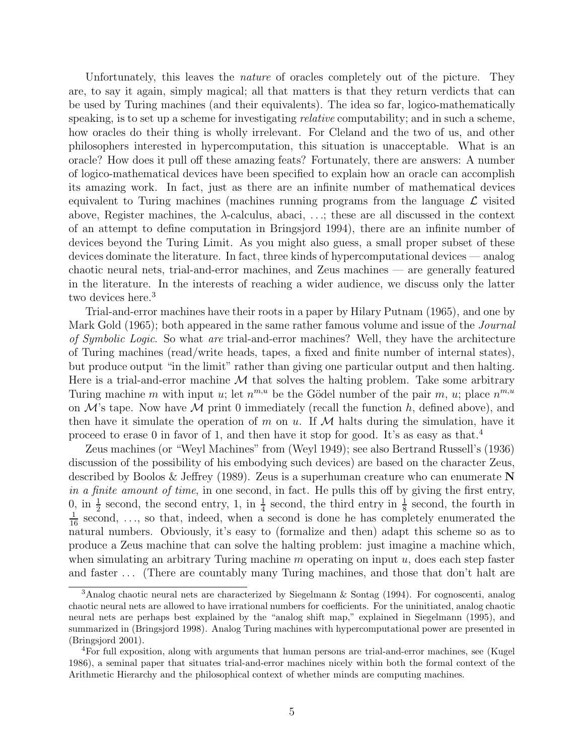Unfortunately, this leaves the *nature* of oracles completely out of the picture. They are, to say it again, simply magical; all that matters is that they return verdicts that can be used by Turing machines (and their equivalents). The idea so far, logico-mathematically speaking, is to set up a scheme for investigating relative computability; and in such a scheme, how oracles do their thing is wholly irrelevant. For Cleland and the two of us, and other philosophers interested in hypercomputation, this situation is unacceptable. What is an oracle? How does it pull off these amazing feats? Fortunately, there are answers: A number of logico-mathematical devices have been specified to explain how an oracle can accomplish its amazing work. In fact, just as there are an infinite number of mathematical devices equivalent to Turing machines (machines running programs from the language  $\mathcal L$  visited above, Register machines, the  $\lambda$ -calculus, abaci, ...; these are all discussed in the context of an attempt to define computation in Bringsjord 1994), there are an infinite number of devices beyond the Turing Limit. As you might also guess, a small proper subset of these devices dominate the literature. In fact, three kinds of hypercomputational devices — analog chaotic neural nets, trial-and-error machines, and Zeus machines — are generally featured in the literature. In the interests of reaching a wider audience, we discuss only the latter two devices here.<sup>3</sup>

Trial-and-error machines have their roots in a paper by Hilary Putnam (1965), and one by Mark Gold (1965); both appeared in the same rather famous volume and issue of the *Journal* of Symbolic Logic. So what are trial-and-error machines? Well, they have the architecture of Turing machines (read/write heads, tapes, a fixed and finite number of internal states), but produce output "in the limit" rather than giving one particular output and then halting. Here is a trial-and-error machine  $M$  that solves the halting problem. Take some arbitrary Turing machine m with input u; let  $n^{m,u}$  be the Gödel number of the pair m, u; place  $n^{m,u}$ on  $\mathcal{M}$ 's tape. Now have  $\mathcal M$  print 0 immediately (recall the function  $h$ , defined above), and then have it simulate the operation of m on u. If  $M$  halts during the simulation, have it proceed to erase 0 in favor of 1, and then have it stop for good. It's as easy as that.4

Zeus machines (or "Weyl Machines" from (Weyl 1949); see also Bertrand Russell's (1936) discussion of the possibility of his embodying such devices) are based on the character Zeus, described by Boolos & Jeffrey (1989). Zeus is a superhuman creature who can enumerate **N** in a finite amount of time, in one second, in fact. He pulls this off by giving the first entry, 0, in  $\frac{1}{2}$  second, the second entry, 1, in  $\frac{1}{4}$  second, the third entry in  $\frac{1}{8}$  second, the fourth in  $\frac{1}{16}$  second, ..., so that, indeed, when a second is done he has completely enumerated the natural natural numbers. Obviously, it's easy to (formalize and then) adapt this scheme so as to produce a Zeus machine that can solve the halting problem: just imagine a machine which, when simulating an arbitrary Turing machine  $m$  operating on input  $u$ , does each step faster and faster ... (There are countably many Turing machines, and those that don't halt are

<sup>3</sup>Analog chaotic neural nets are characterized by Siegelmann & Sontag (1994). For cognoscenti, analog chaotic neural nets are allowed to have irrational numbers for coefficients. For the uninitiated, analog chaotic neural nets are perhaps best explained by the "analog shift map," explained in Siegelmann (1995), and summarized in (Bringsjord 1998). Analog Turing machines with hypercomputational power are presented in (Bringsjord 2001).

<sup>4</sup>For full exposition, along with arguments that human persons are trial-and-error machines, see (Kugel 1986), a seminal paper that situates trial-and-error machines nicely within both the formal context of the Arithmetic Hierarchy and the philosophical context of whether minds are computing machines.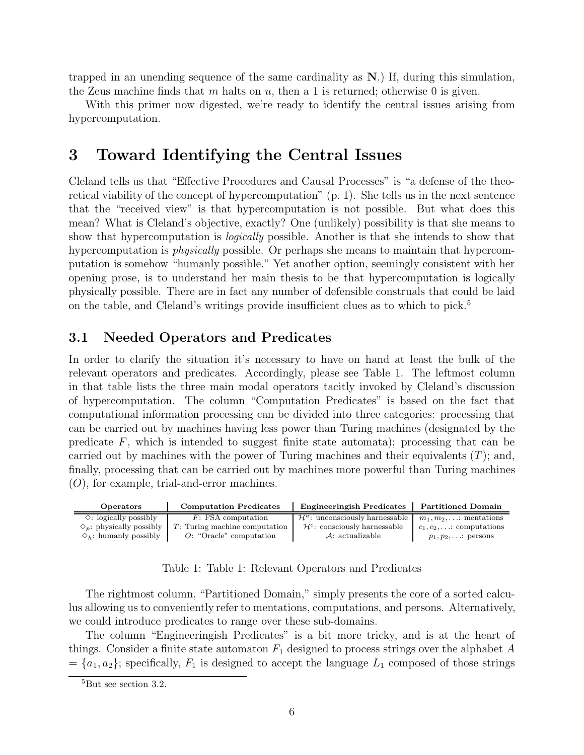trapped in an unending sequence of the same cardinality as **N**.) If, during this simulation, the Zeus machine finds that m halts on  $u$ , then a 1 is returned; otherwise 0 is given.

With this primer now digested, we're ready to identify the central issues arising from hypercomputation.

## **3 Toward Identifying the Central Issues**

Cleland tells us that "Effective Procedures and Causal Processes" is "a defense of the theoretical viability of the concept of hypercomputation" (p. 1). She tells us in the next sentence that the "received view" is that hypercomputation is not possible. But what does this mean? What is Cleland's objective, exactly? One (unlikely) possibility is that she means to show that hypercomputation is logically possible. Another is that she intends to show that hypercomputation is physically possible. Or perhaps she means to maintain that hypercomputation is somehow "humanly possible." Yet another option, seemingly consistent with her opening prose, is to understand her main thesis to be that hypercomputation is logically physically possible. There are in fact any number of defensible construals that could be laid on the table, and Cleland's writings provide insufficient clues as to which to pick.<sup>5</sup>

### **3.1 Needed Operators and Predicates**

In order to clarify the situation it's necessary to have on hand at least the bulk of the relevant operators and predicates. Accordingly, please see Table 1. The leftmost column in that table lists the three main modal operators tacitly invoked by Cleland's discussion of hypercomputation. The column "Computation Predicates" is based on the fact that computational information processing can be divided into three categories: processing that can be carried out by machines having less power than Turing machines (designated by the predicate  $F$ , which is intended to suggest finite state automata); processing that can be carried out by machines with the power of Turing machines and their equivalents  $(T)$ ; and, finally, processing that can be carried out by machines more powerful than Turing machines (O), for example, trial-and-error machines.

| Operators                          | <b>Computation Predicates</b>    | <b>Engineeringish Predicates</b>            | <b>Partitioned Domain</b>       |
|------------------------------------|----------------------------------|---------------------------------------------|---------------------------------|
| $\Diamond$ : logically possibly    | $F:$ FSA computation             | $\mathcal{H}^u$ : unconsciously harnessable | $m_1, m_2, \ldots$ mentations   |
| $\Diamond_n$ : physically possibly | $T$ : Turing machine computation | $\mathcal{H}^c$ : consciously harnessable   | $c_1, c_2, \ldots$ computations |
| $\Diamond_h$ : humanly possibly    | O: "Oracle" computation          | $\mathcal{A}$ : actualizable                | $p_1, p_2, \ldots$ persons      |

Table 1: Table 1: Relevant Operators and Predicates

The rightmost column, "Partitioned Domain," simply presents the core of a sorted calculus allowing us to conveniently refer to mentations, computations, and persons. Alternatively, we could introduce predicates to range over these sub-domains.

The column "Engineeringish Predicates" is a bit more tricky, and is at the heart of things. Consider a finite state automaton  $F_1$  designed to process strings over the alphabet A  $=\{a_1, a_2\}$ ; specifically,  $F_1$  is designed to accept the language  $L_1$  composed of those strings

<sup>&</sup>lt;sup>5</sup>But see section 3.2.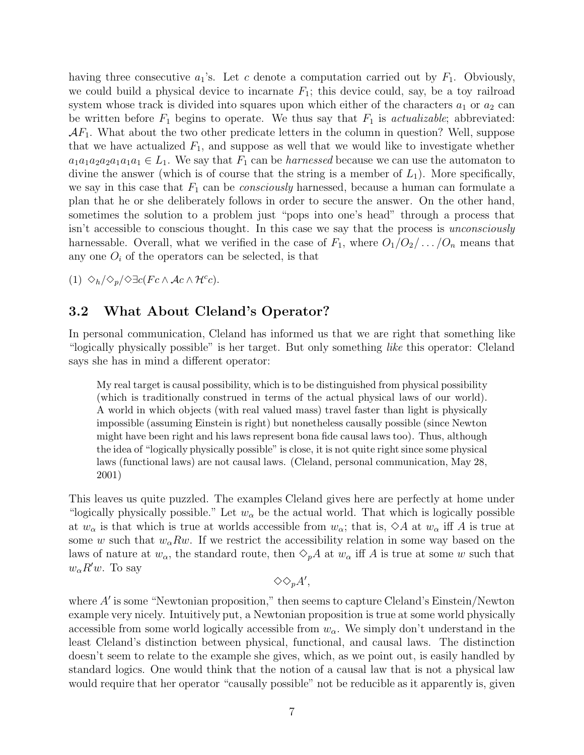having three consecutive  $a_1$ 's. Let c denote a computation carried out by  $F_1$ . Obviously, we could build a physical device to incarnate  $F_1$ ; this device could, say, be a toy railroad system whose track is divided into squares upon which either of the characters  $a_1$  or  $a_2$  can be written before  $F_1$  begins to operate. We thus say that  $F_1$  is *actualizable*; abbreviated:  $\mathcal{A}F_1$ . What about the two other predicate letters in the column in question? Well, suppose that we have actualized  $F_1$ , and suppose as well that we would like to investigate whether  $a_1a_1a_2a_2a_1a_1a_1 \in L_1$ . We say that  $F_1$  can be *harnessed* because we can use the automaton to divine the answer (which is of course that the string is a member of  $L_1$ ). More specifically, we say in this case that  $F_1$  can be *consciously* harnessed, because a human can formulate a plan that he or she deliberately follows in order to secure the answer. On the other hand, sometimes the solution to a problem just "pops into one's head" through a process that isn't accessible to conscious thought. In this case we say that the process is unconsciously harnessable. Overall, what we verified in the case of  $F_1$ , where  $O_1/O_2/\dots/O_n$  means that any one  $O_i$  of the operators can be selected, is that

(1)  $\Diamond_h / \Diamond_p / \Diamond \exists c (Fc \land \mathcal{A}c \land \mathcal{H}^c c).$ 

### **3.2 What About Cleland's Operator?**

In personal communication, Cleland has informed us that we are right that something like "logically physically possible" is her target. But only something like this operator: Cleland says she has in mind a different operator:

My real target is causal possibility, which is to be distinguished from physical possibility (which is traditionally construed in terms of the actual physical laws of our world). A world in which objects (with real valued mass) travel faster than light is physically impossible (assuming Einstein is right) but nonetheless causally possible (since Newton might have been right and his laws represent bona fide causal laws too). Thus, although the idea of "logically physically possible" is close, it is not quite right since some physical laws (functional laws) are not causal laws. (Cleland, personal communication, May 28, 2001)

This leaves us quite puzzled. The examples Cleland gives here are perfectly at home under "logically physically possible." Let  $w_{\alpha}$  be the actual world. That which is logically possible at  $w_{\alpha}$  is that which is true at worlds accessible from  $w_{\alpha}$ ; that is,  $\diamond A$  at  $w_{\alpha}$  iff A is true at some w such that  $w_{\alpha}Rw$ . If we restrict the accessibility relation in some way based on the laws of nature at  $w_{\alpha}$ , the standard route, then  $\Diamond_p A$  at  $w_{\alpha}$  iff A is true at some w such that  $w_{\alpha}R'w$ . To say

 $\diamondsuit \diamond_p A',$ 

where  $A'$  is some "Newtonian proposition," then seems to capture Cleland's Einstein/Newton example very nicely. Intuitively put, a Newtonian proposition is true at some world physically accessible from some world logically accessible from  $w_{\alpha}$ . We simply don't understand in the least Cleland's distinction between physical, functional, and causal laws. The distinction doesn't seem to relate to the example she gives, which, as we point out, is easily handled by standard logics. One would think that the notion of a causal law that is not a physical law would require that her operator "causally possible" not be reducible as it apparently is, given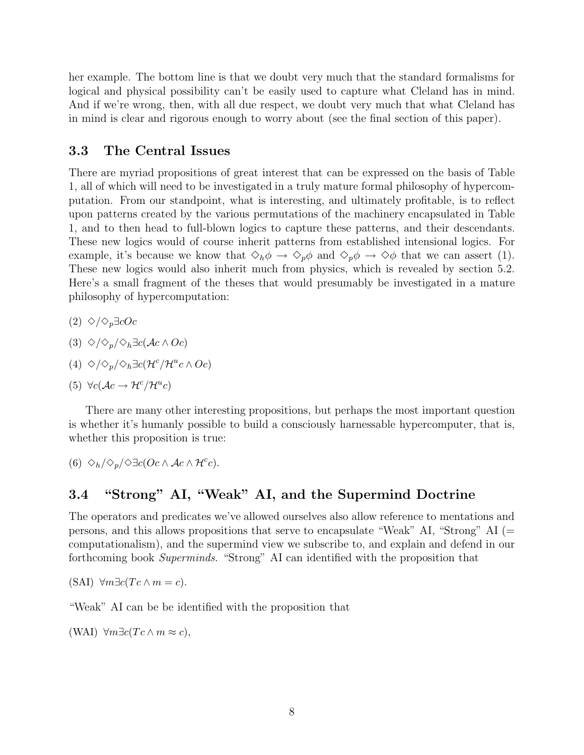her example. The bottom line is that we doubt very much that the standard formalisms for logical and physical possibility can't be easily used to capture what Cleland has in mind. And if we're wrong, then, with all due respect, we doubt very much that what Cleland has in mind is clear and rigorous enough to worry about (see the final section of this paper).

### **3.3 The Central Issues**

There are myriad propositions of great interest that can be expressed on the basis of Table 1, all of which will need to be investigated in a truly mature formal philosophy of hypercomputation. From our standpoint, what is interesting, and ultimately profitable, is to reflect upon patterns created by the various permutations of the machinery encapsulated in Table 1, and to then head to full-blown logics to capture these patterns, and their descendants. These new logics would of course inherit patterns from established intensional logics. For example, it's because we know that  $\Diamond_h \phi \to \Diamond_p \phi$  and  $\Diamond_p \phi \to \Diamond \phi$  that we can assert (1). These new logics would also inherit much from physics, which is revealed by section 5.2. Here's a small fragment of the theses that would presumably be investigated in a mature philosophy of hypercomputation:

 $(2) \diamondsuit \diamondsuit_p \exists cOc$ 

$$
(3) \ \Diamond/\Diamond_p/\Diamond_h \exists c(\mathcal{A}c \land Oc)
$$

(4)  $\diamond/\diamond_p/\diamond_h \exists c(\mathcal{H}^c/\mathcal{H}^uc \wedge Oc)$ 

(5) 
$$
\forall c(\mathcal{A}c \to \mathcal{H}^c/\mathcal{H}^uc)
$$

There are many other interesting propositions, but perhaps the most important question is whether it's humanly possible to build a consciously harnessable hypercomputer, that is, whether this proposition is true:

(6)  $\Diamond_h / \Diamond_p / \Diamond \exists c (Oc \land \mathcal{A}c \land \mathcal{H}^c c).$ 

## **3.4 "Strong" AI, "Weak" AI, and the Supermind Doctrine**

The operators and predicates we've allowed ourselves also allow reference to mentations and persons, and this allows propositions that serve to encapsulate "Weak" AI, "Strong" AI (= computationalism), and the supermind view we subscribe to, and explain and defend in our forthcoming book Superminds. "Strong" AI can identified with the proposition that

(SAI)  $\forall m \exists c (T c \land m = c).$ 

"Weak" AI can be be identified with the proposition that

(WAI)  $\forall m \exists c (T c \land m \approx c),$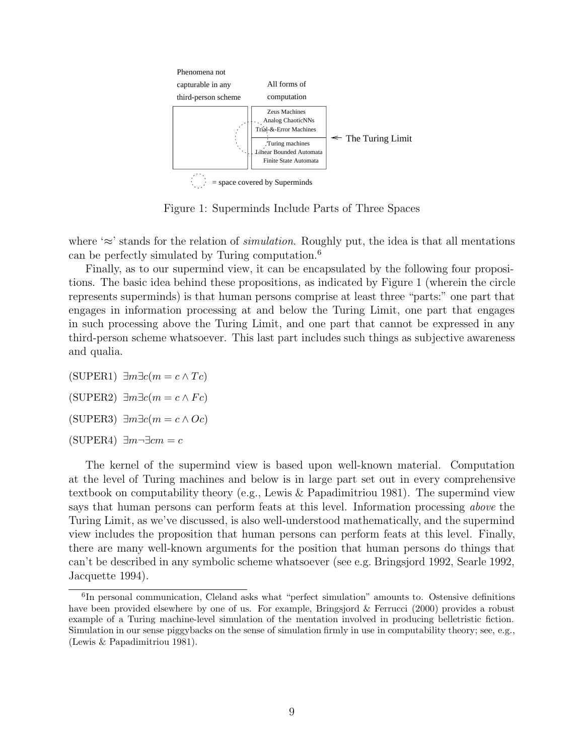

Figure 1: Superminds Include Parts of Three Spaces

where ' $\approx$ ' stands for the relation of *simulation*. Roughly put, the idea is that all mentations can be perfectly simulated by Turing computation.<sup>6</sup>

Finally, as to our supermind view, it can be encapsulated by the following four propositions. The basic idea behind these propositions, as indicated by Figure 1 (wherein the circle represents superminds) is that human persons comprise at least three "parts:" one part that engages in information processing at and below the Turing Limit, one part that engages in such processing above the Turing Limit, and one part that cannot be expressed in any third-person scheme whatsoever. This last part includes such things as subjective awareness and qualia.

- (SUPER1)  $\exists m \exists c (m = c \land Tc)$
- (SUPER2)  $\exists m \exists c (m = c \land Fc)$
- (SUPER3)  $\exists m \exists c (m = c \land Ox)$
- $(SUPER4) \exists m \neg \exists cm = c$

The kernel of the supermind view is based upon well-known material. Computation at the level of Turing machines and below is in large part set out in every comprehensive textbook on computability theory (e.g., Lewis & Papadimitriou 1981). The supermind view says that human persons can perform feats at this level. Information processing *above* the Turing Limit, as we've discussed, is also well-understood mathematically, and the supermind view includes the proposition that human persons can perform feats at this level. Finally, there are many well-known arguments for the position that human persons do things that can't be described in any symbolic scheme whatsoever (see e.g. Bringsjord 1992, Searle 1992, Jacquette 1994).

<sup>&</sup>lt;sup>6</sup>In personal communication, Cleland asks what "perfect simulation" amounts to. Ostensive definitions have been provided elsewhere by one of us. For example, Bringsjord & Ferrucci (2000) provides a robust example of a Turing machine-level simulation of the mentation involved in producing belletristic fiction. Simulation in our sense piggybacks on the sense of simulation firmly in use in computability theory; see, e.g., (Lewis & Papadimitriou 1981).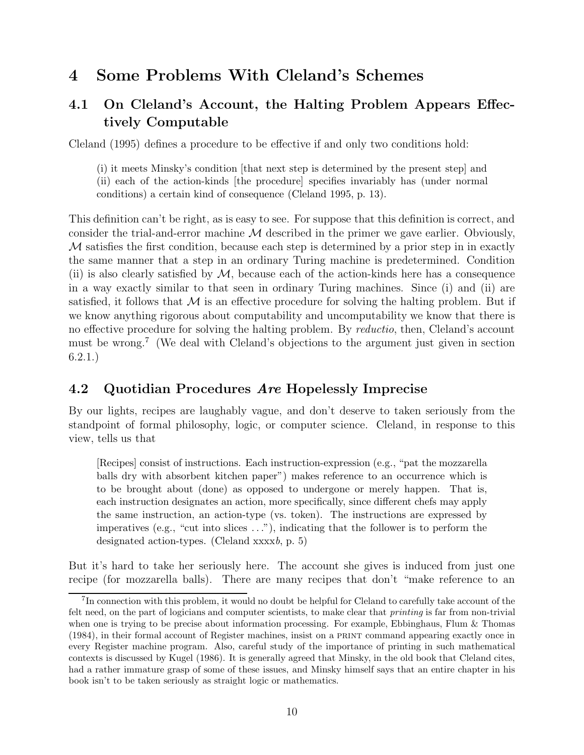## **4 Some Problems With Cleland's Schemes**

## **4.1 On Cleland's Account, the Halting Problem Appears Effectively Computable**

Cleland (1995) defines a procedure to be effective if and only two conditions hold:

(i) it meets Minsky's condition [that next step is determined by the present step] and

(ii) each of the action-kinds [the procedure] specifies invariably has (under normal conditions) a certain kind of consequence (Cleland 1995, p. 13).

This definition can't be right, as is easy to see. For suppose that this definition is correct, and consider the trial-and-error machine  $M$  described in the primer we gave earlier. Obviously, M satisfies the first condition, because each step is determined by a prior step in in exactly the same manner that a step in an ordinary Turing machine is predetermined. Condition (ii) is also clearly satisfied by  $\mathcal{M}$ , because each of the action-kinds here has a consequence in a way exactly similar to that seen in ordinary Turing machines. Since (i) and (ii) are satisfied, it follows that  $\mathcal M$  is an effective procedure for solving the halting problem. But if we know anything rigorous about computability and uncomputability we know that there is no effective procedure for solving the halting problem. By *reductio*, then, Cleland's account must be wrong.<sup>7</sup> (We deal with Cleland's objections to the argument just given in section 6.2.1.)

### **4.2 Quotidian Procedures** *Are* **Hopelessly Imprecise**

By our lights, recipes are laughably vague, and don't deserve to taken seriously from the standpoint of formal philosophy, logic, or computer science. Cleland, in response to this view, tells us that

[Recipes] consist of instructions. Each instruction-expression (e.g., "pat the mozzarella balls dry with absorbent kitchen paper") makes reference to an occurrence which is to be brought about (done) as opposed to undergone or merely happen. That is, each instruction designates an action, more specifically, since different chefs may apply the same instruction, an action-type (vs. token). The instructions are expressed by imperatives (e.g., "cut into slices ..."), indicating that the follower is to perform the designated action-types. (Cleland xxxx*b*, p. 5)

But it's hard to take her seriously here. The account she gives is induced from just one recipe (for mozzarella balls). There are many recipes that don't "make reference to an

<sup>&</sup>lt;sup>7</sup>In connection with this problem, it would no doubt be helpful for Cleland to carefully take account of the felt need, on the part of logicians and computer scientists, to make clear that *printing* is far from non-trivial when one is trying to be precise about information processing. For example, Ebbinghaus, Flum & Thomas (1984), in their formal account of Register machines, insist on a print command appearing exactly once in every Register machine program. Also, careful study of the importance of printing in such mathematical contexts is discussed by Kugel (1986). It is generally agreed that Minsky, in the old book that Cleland cites, had a rather immature grasp of some of these issues, and Minsky himself says that an entire chapter in his book isn't to be taken seriously as straight logic or mathematics.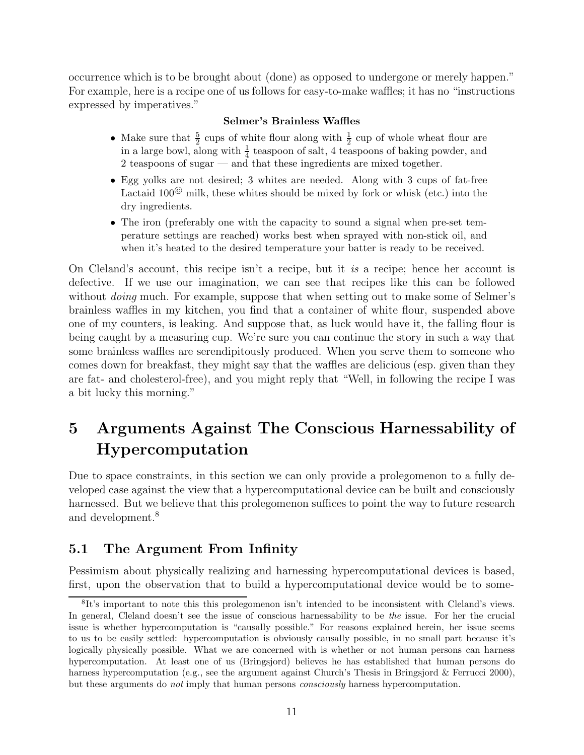occurrence which is to be brought about (done) as opposed to undergone or merely happen." For example, here is a recipe one of us follows for easy-to-make waffles; it has no "instructions expressed by imperatives."

#### **Selmer's Brainless Waffles**

- Make sure that  $\frac{5}{2}$  cups of white flour along with  $\frac{1}{2}$  cup of whole wheat flour are<br>in a large bowl, along with  $\frac{1}{2}$  teaspoon of salt, A teaspoons of baking powder, and in a large bowl, along with  $\frac{1}{4}$  teaspoon of salt, 4 teaspoons of baking powder, and<br>2 teaspoons of sugar — and that these ingredients are mixed together 2 teaspoons of sugar — and that these ingredients are mixed together.
- Egg yolks are not desired; 3 whites are needed. Along with 3 cups of fat-free Lactaid  $100^{\circ}$  milk, these whites should be mixed by fork or whisk (etc.) into the dry ingredients.
- The iron (preferably one with the capacity to sound a signal when pre-set temperature settings are reached) works best when sprayed with non-stick oil, and when it's heated to the desired temperature your batter is ready to be received.

On Cleland's account, this recipe isn't a recipe, but it is a recipe; hence her account is defective. If we use our imagination, we can see that recipes like this can be followed without *doing* much. For example, suppose that when setting out to make some of Selmer's brainless waffles in my kitchen, you find that a container of white flour, suspended above one of my counters, is leaking. And suppose that, as luck would have it, the falling flour is being caught by a measuring cup. We're sure you can continue the story in such a way that some brainless waffles are serendipitously produced. When you serve them to someone who comes down for breakfast, they might say that the waffles are delicious (esp. given than they are fat- and cholesterol-free), and you might reply that "Well, in following the recipe I was a bit lucky this morning."

# **5 Arguments Against The Conscious Harnessability of Hypercomputation**

Due to space constraints, in this section we can only provide a prolegomenon to a fully developed case against the view that a hypercomputational device can be built and consciously harnessed. But we believe that this prolegomenon suffices to point the way to future research and development.8

### **5.1 The Argument From Infinity**

Pessimism about physically realizing and harnessing hypercomputational devices is based, first, upon the observation that to build a hypercomputational device would be to some-

<sup>8</sup>It's important to note this this prolegomenon isn't intended to be inconsistent with Cleland's views. In general, Cleland doesn't see the issue of conscious harnessability to be *the* issue. For her the crucial issue is whether hypercomputation is "causally possible." For reasons explained herein, her issue seems to us to be easily settled: hypercomputation is obviously causally possible, in no small part because it's logically physically possible. What we are concerned with is whether or not human persons can harness hypercomputation. At least one of us (Bringsjord) believes he has established that human persons do harness hypercomputation (e.g., see the argument against Church's Thesis in Bringsjord & Ferrucci 2000), but these arguments do *not* imply that human persons *consciously* harness hypercomputation.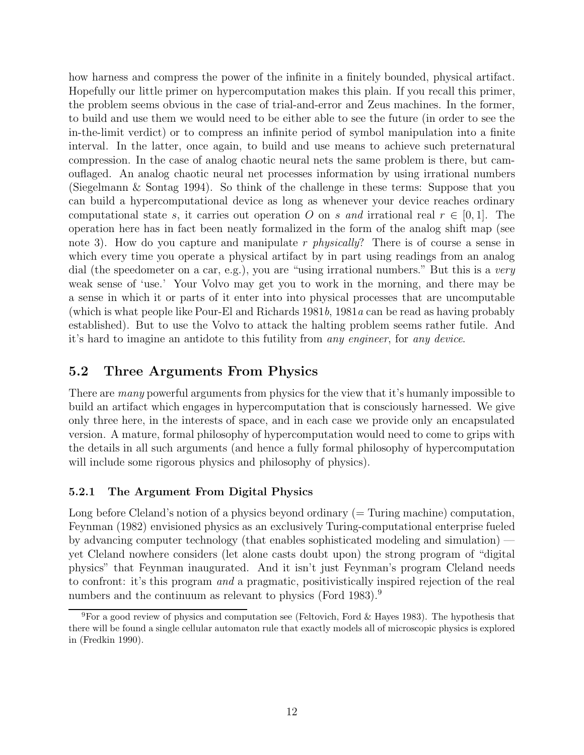how harness and compress the power of the infinite in a finitely bounded, physical artifact. Hopefully our little primer on hypercomputation makes this plain. If you recall this primer, the problem seems obvious in the case of trial-and-error and Zeus machines. In the former, to build and use them we would need to be either able to see the future (in order to see the in-the-limit verdict) or to compress an infinite period of symbol manipulation into a finite interval. In the latter, once again, to build and use means to achieve such preternatural compression. In the case of analog chaotic neural nets the same problem is there, but camouflaged. An analog chaotic neural net processes information by using irrational numbers (Siegelmann & Sontag 1994). So think of the challenge in these terms: Suppose that you can build a hypercomputational device as long as whenever your device reaches ordinary computational state s, it carries out operation O on s and irrational real  $r \in [0,1]$ . The operation here has in fact been neatly formalized in the form of the analog shift map (see note 3). How do you capture and manipulate r physically? There is of course a sense in which every time you operate a physical artifact by in part using readings from an analog dial (the speedometer on a car, e.g.), you are "using irrational numbers." But this is a very weak sense of 'use.' Your Volvo may get you to work in the morning, and there may be a sense in which it or parts of it enter into into physical processes that are uncomputable (which is what people like Pour-El and Richards 1981b,  $1981a$  can be read as having probably established). But to use the Volvo to attack the halting problem seems rather futile. And it's hard to imagine an antidote to this futility from any engineer, for any device.

### **5.2 Three Arguments From Physics**

There are many powerful arguments from physics for the view that it's humanly impossible to build an artifact which engages in hypercomputation that is consciously harnessed. We give only three here, in the interests of space, and in each case we provide only an encapsulated version. A mature, formal philosophy of hypercomputation would need to come to grips with the details in all such arguments (and hence a fully formal philosophy of hypercomputation will include some rigorous physics and philosophy of physics).

#### **5.2.1 The Argument From Digital Physics**

Long before Cleland's notion of a physics beyond ordinary (= Turing machine) computation, Feynman (1982) envisioned physics as an exclusively Turing-computational enterprise fueled by advancing computer technology (that enables sophisticated modeling and simulation) yet Cleland nowhere considers (let alone casts doubt upon) the strong program of "digital physics" that Feynman inaugurated. And it isn't just Feynman's program Cleland needs to confront: it's this program and a pragmatic, positivistically inspired rejection of the real numbers and the continuum as relevant to physics (Ford 1983).<sup>9</sup>

<sup>&</sup>lt;sup>9</sup>For a good review of physics and computation see (Feltovich, Ford & Hayes 1983). The hypothesis that there will be found a single cellular automaton rule that exactly models all of microscopic physics is explored in (Fredkin 1990).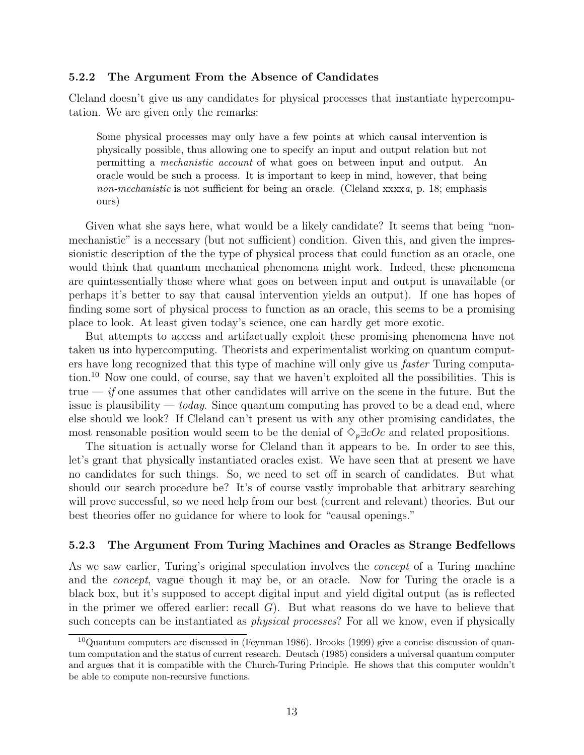#### **5.2.2 The Argument From the Absence of Candidates**

Cleland doesn't give us any candidates for physical processes that instantiate hypercomputation. We are given only the remarks:

Some physical processes may only have a few points at which causal intervention is physically possible, thus allowing one to specify an input and output relation but not permitting a *mechanistic account* of what goes on between input and output. An oracle would be such a process. It is important to keep in mind, however, that being *non-mechanistic* is not sufficient for being an oracle. (Cleland xxxx*a*, p. 18; emphasis ours)

Given what she says here, what would be a likely candidate? It seems that being "nonmechanistic" is a necessary (but not sufficient) condition. Given this, and given the impressionistic description of the the type of physical process that could function as an oracle, one would think that quantum mechanical phenomena might work. Indeed, these phenomena are quintessentially those where what goes on between input and output is unavailable (or perhaps it's better to say that causal intervention yields an output). If one has hopes of finding some sort of physical process to function as an oracle, this seems to be a promising place to look. At least given today's science, one can hardly get more exotic.

But attempts to access and artifactually exploit these promising phenomena have not taken us into hypercomputing. Theorists and experimentalist working on quantum computers have long recognized that this type of machine will only give us faster Turing computation.<sup>10</sup> Now one could, of course, say that we haven't exploited all the possibilities. This is true — *if* one assumes that other candidates will arrive on the scene in the future. But the issue is plausibility — today. Since quantum computing has proved to be a dead end, where else should we look? If Cleland can't present us with any other promising candidates, the most reasonable position would seem to be the denial of  $\Diamond_p \exists cOc$  and related propositions.

The situation is actually worse for Cleland than it appears to be. In order to see this, let's grant that physically instantiated oracles exist. We have seen that at present we have no candidates for such things. So, we need to set off in search of candidates. But what should our search procedure be? It's of course vastly improbable that arbitrary searching will prove successful, so we need help from our best (current and relevant) theories. But our best theories offer no guidance for where to look for "causal openings."

#### **5.2.3 The Argument From Turing Machines and Oracles as Strange Bedfellows**

As we saw earlier, Turing's original speculation involves the *concept* of a Turing machine and the concept, vague though it may be, or an oracle. Now for Turing the oracle is a black box, but it's supposed to accept digital input and yield digital output (as is reflected in the primer we offered earlier: recall  $G$ ). But what reasons do we have to believe that such concepts can be instantiated as *physical processes*? For all we know, even if physically

 $10$ Quantum computers are discussed in (Feynman 1986). Brooks (1999) give a concise discussion of quantum computation and the status of current research. Deutsch (1985) considers a universal quantum computer and argues that it is compatible with the Church-Turing Principle. He shows that this computer wouldn't be able to compute non-recursive functions.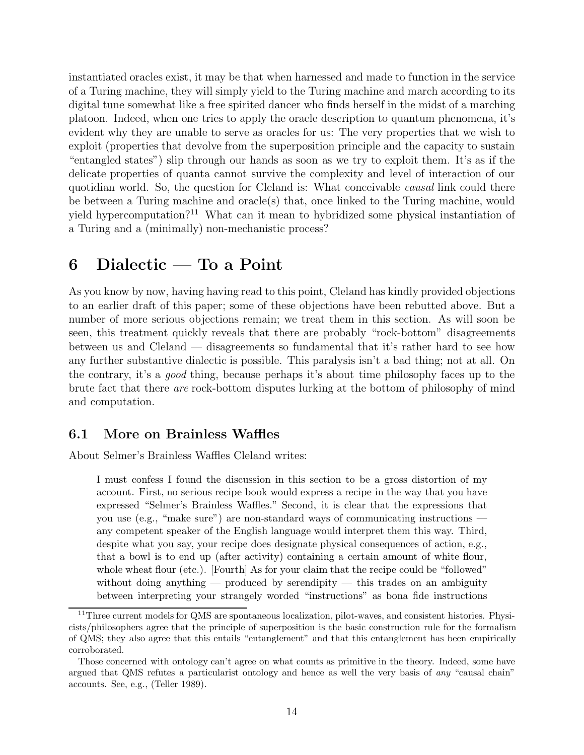instantiated oracles exist, it may be that when harnessed and made to function in the service of a Turing machine, they will simply yield to the Turing machine and march according to its digital tune somewhat like a free spirited dancer who finds herself in the midst of a marching platoon. Indeed, when one tries to apply the oracle description to quantum phenomena, it's evident why they are unable to serve as oracles for us: The very properties that we wish to exploit (properties that devolve from the superposition principle and the capacity to sustain "entangled states") slip through our hands as soon as we try to exploit them. It's as if the delicate properties of quanta cannot survive the complexity and level of interaction of our quotidian world. So, the question for Cleland is: What conceivable causal link could there be between a Turing machine and oracle(s) that, once linked to the Turing machine, would yield hypercomputation?<sup>11</sup> What can it mean to hybridized some physical instantiation of a Turing and a (minimally) non-mechanistic process?

## **6 Dialectic — To a Point**

As you know by now, having having read to this point, Cleland has kindly provided objections to an earlier draft of this paper; some of these objections have been rebutted above. But a number of more serious objections remain; we treat them in this section. As will soon be seen, this treatment quickly reveals that there are probably "rock-bottom" disagreements between us and Cleland — disagreements so fundamental that it's rather hard to see how any further substantive dialectic is possible. This paralysis isn't a bad thing; not at all. On the contrary, it's a good thing, because perhaps it's about time philosophy faces up to the brute fact that there are rock-bottom disputes lurking at the bottom of philosophy of mind and computation.

### **6.1 More on Brainless Waffles**

About Selmer's Brainless Waffles Cleland writes:

I must confess I found the discussion in this section to be a gross distortion of my account. First, no serious recipe book would express a recipe in the way that you have expressed "Selmer's Brainless Waffles." Second, it is clear that the expressions that you use (e.g., "make sure") are non-standard ways of communicating instructions any competent speaker of the English language would interpret them this way. Third, despite what you say, your recipe does designate physical consequences of action, e.g., that a bowl is to end up (after activity) containing a certain amount of white flour, whole wheat flour (etc.). [Fourth] As for your claim that the recipe could be "followed" without doing anything — produced by serendipity — this trades on an ambiguity between interpreting your strangely worded "instructions" as bona fide instructions

<sup>&</sup>lt;sup>11</sup>Three current models for QMS are spontaneous localization, pilot-waves, and consistent histories. Physicists/philosophers agree that the principle of superposition is the basic construction rule for the formalism of QMS; they also agree that this entails "entanglement" and that this entanglement has been empirically corroborated.

Those concerned with ontology can't agree on what counts as primitive in the theory. Indeed, some have argued that QMS refutes a particularist ontology and hence as well the very basis of *any* "causal chain" accounts. See, e.g., (Teller 1989).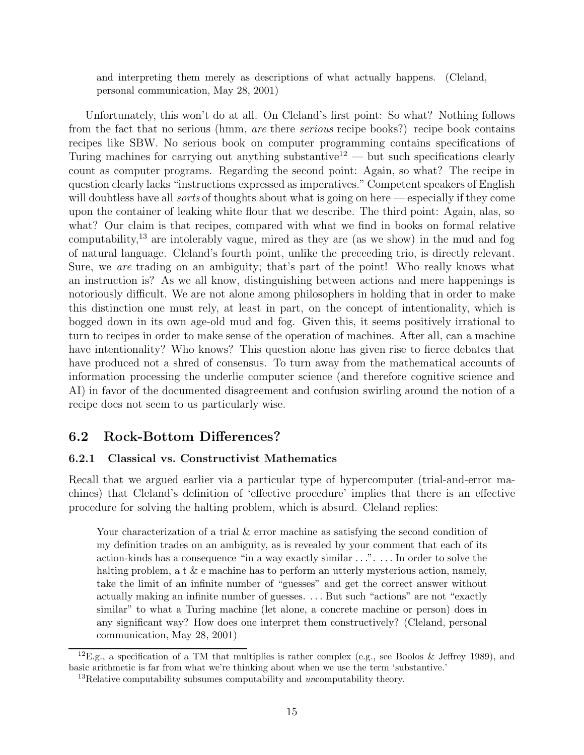and interpreting them merely as descriptions of what actually happens. (Cleland, personal communication, May 28, 2001)

Unfortunately, this won't do at all. On Cleland's first point: So what? Nothing follows from the fact that no serious (hmm, are there serious recipe books?) recipe book contains recipes like SBW. No serious book on computer programming contains specifications of Turing machines for carrying out anything substantive<sup>12</sup> — but such specifications clearly count as computer programs. Regarding the second point: Again, so what? The recipe in question clearly lacks "instructions expressed as imperatives." Competent speakers of English will doubtless have all *sorts* of thoughts about what is going on here — especially if they come upon the container of leaking white flour that we describe. The third point: Again, alas, so what? Our claim is that recipes, compared with what we find in books on formal relative computability,<sup>13</sup> are intolerably vague, mired as they are (as we show) in the mud and fog of natural language. Cleland's fourth point, unlike the preceeding trio, is directly relevant. Sure, we are trading on an ambiguity; that's part of the point! Who really knows what an instruction is? As we all know, distinguishing between actions and mere happenings is notoriously difficult. We are not alone among philosophers in holding that in order to make this distinction one must rely, at least in part, on the concept of intentionality, which is bogged down in its own age-old mud and fog. Given this, it seems positively irrational to turn to recipes in order to make sense of the operation of machines. After all, can a machine have intentionality? Who knows? This question alone has given rise to fierce debates that have produced not a shred of consensus. To turn away from the mathematical accounts of information processing the underlie computer science (and therefore cognitive science and AI) in favor of the documented disagreement and confusion swirling around the notion of a recipe does not seem to us particularly wise.

### **6.2 Rock-Bottom Differences?**

#### **6.2.1 Classical vs. Constructivist Mathematics**

Recall that we argued earlier via a particular type of hypercomputer (trial-and-error machines) that Cleland's definition of 'effective procedure' implies that there is an effective procedure for solving the halting problem, which is absurd. Cleland replies:

Your characterization of a trial  $\&$  error machine as satisfying the second condition of my definition trades on an ambiguity, as is revealed by your comment that each of its action-kinds has a consequence "in a way exactly similar ...". ... In order to solve the halting problem, a t  $\&$  e machine has to perform an utterly mysterious action, namely, take the limit of an infinite number of "guesses" and get the correct answer without actually making an infinite number of guesses. ... But such "actions" are not "exactly similar" to what a Turing machine (let alone, a concrete machine or person) does in any significant way? How does one interpret them constructively? (Cleland, personal communication, May 28, 2001)

 $^{12}E.g.,$  a specification of a TM that multiplies is rather complex (e.g., see Boolos & Jeffrey 1989), and basic arithmetic is far from what we're thinking about when we use the term 'substantive.'

<sup>13</sup>Relative computability subsumes computability and *un*computability theory.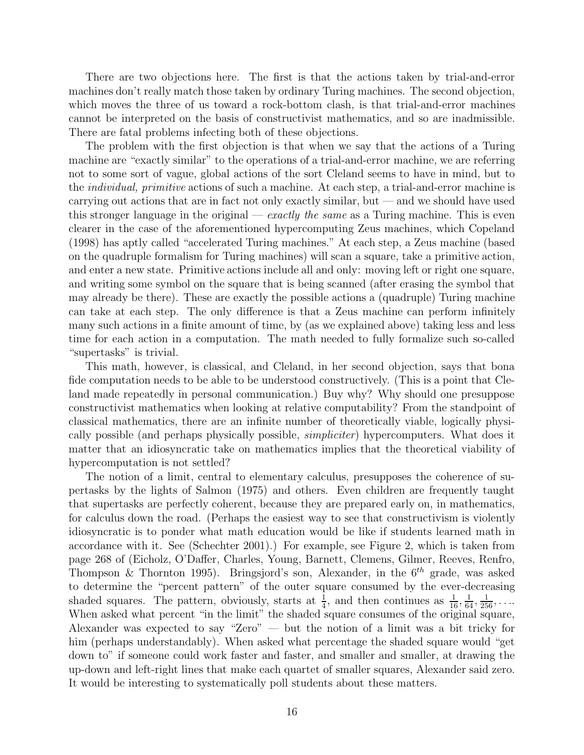There are two objections here. The first is that the actions taken by trial-and-error machines don't really match those taken by ordinary Turing machines. The second objection, which moves the three of us toward a rock-bottom clash, is that trial-and-error machines cannot be interpreted on the basis of constructivist mathematics, and so are inadmissible. There are fatal problems infecting both of these objections.

The problem with the first objection is that when we say that the actions of a Turing machine are "exactly similar" to the operations of a trial-and-error machine, we are referring not to some sort of vague, global actions of the sort Cleland seems to have in mind, but to the individual, primitive actions of such a machine. At each step, a trial-and-error machine is carrying out actions that are in fact not only exactly similar, but — and we should have used this stronger language in the original — exactly the same as a Turing machine. This is even clearer in the case of the aforementioned hypercomputing Zeus machines, which Copeland (1998) has aptly called "accelerated Turing machines." At each step, a Zeus machine (based on the quadruple formalism for Turing machines) will scan a square, take a primitive action, and enter a new state. Primitive actions include all and only: moving left or right one square, and writing some symbol on the square that is being scanned (after erasing the symbol that may already be there). These are exactly the possible actions a (quadruple) Turing machine can take at each step. The only difference is that a Zeus machine can perform infinitely many such actions in a finite amount of time, by (as we explained above) taking less and less time for each action in a computation. The math needed to fully formalize such so-called "supertasks" is trivial.

This math, however, is classical, and Cleland, in her second objection, says that bona fide computation needs to be able to be understood constructively. (This is a point that Cleland made repeatedly in personal communication.) Buy why? Why should one presuppose constructivist mathematics when looking at relative computability? From the standpoint of classical mathematics, there are an infinite number of theoretically viable, logically physically possible (and perhaps physically possible, simpliciter) hypercomputers. What does it matter that an idiosyncratic take on mathematics implies that the theoretical viability of hypercomputation is not settled?

The notion of a limit, central to elementary calculus, presupposes the coherence of supertasks by the lights of Salmon (1975) and others. Even children are frequently taught that supertasks are perfectly coherent, because they are prepared early on, in mathematics, for calculus down the road. (Perhaps the easiest way to see that constructivism is violently idiosyncratic is to ponder what math education would be like if students learned math in accordance with it. See (Schechter 2001).) For example, see Figure 2, which is taken from page 268 of (Eicholz, O'Daffer, Charles, Young, Barnett, Clemens, Gilmer, Reeves, Renfro, Thompson & Thornton 1995). Bringsjord's son, Alexander, in the  $6<sup>th</sup>$  grade, was asked to determine the "percent pattern" of the outer square consumed by the ever-decreasing shaded squares. The pattern, obviously, starts at  $\frac{1}{4}$ , and then continues as  $\frac{1}{16}$ ,  $\frac{1}{64}$ ,  $\frac{1}{256}$ ,....<br>When asked what percent "in the limit" the shaded square consumes of the original square, Alexander was expected to say "Zero" — but the notion of a limit was a bit tricky for him (perhaps understandably). When asked what percentage the shaded square would "get down to" if someone could work faster and faster, and smaller and smaller, at drawing the up-down and left-right lines that make each quartet of smaller squares, Alexander said zero. It would be interesting to systematically poll students about these matters.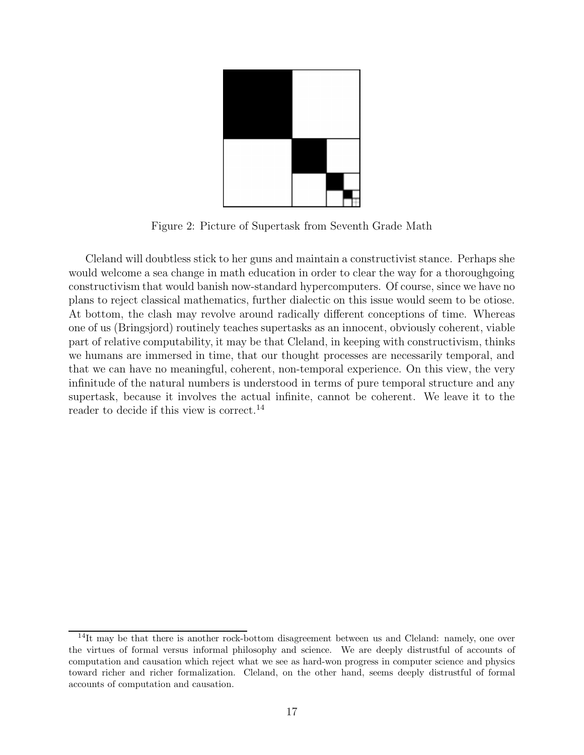

Figure 2: Picture of Supertask from Seventh Grade Math

Cleland will doubtless stick to her guns and maintain a constructivist stance. Perhaps she would welcome a sea change in math education in order to clear the way for a thoroughgoing constructivism that would banish now-standard hypercomputers. Of course, since we have no plans to reject classical mathematics, further dialectic on this issue would seem to be otiose. At bottom, the clash may revolve around radically different conceptions of time. Whereas one of us (Bringsjord) routinely teaches supertasks as an innocent, obviously coherent, viable part of relative computability, it may be that Cleland, in keeping with constructivism, thinks we humans are immersed in time, that our thought processes are necessarily temporal, and that we can have no meaningful, coherent, non-temporal experience. On this view, the very infinitude of the natural numbers is understood in terms of pure temporal structure and any supertask, because it involves the actual infinite, cannot be coherent. We leave it to the reader to decide if this view is correct.<sup>14</sup>

 $14$ It may be that there is another rock-bottom disagreement between us and Cleland: namely, one over the virtues of formal versus informal philosophy and science. We are deeply distrustful of accounts of computation and causation which reject what we see as hard-won progress in computer science and physics toward richer and richer formalization. Cleland, on the other hand, seems deeply distrustful of formal accounts of computation and causation.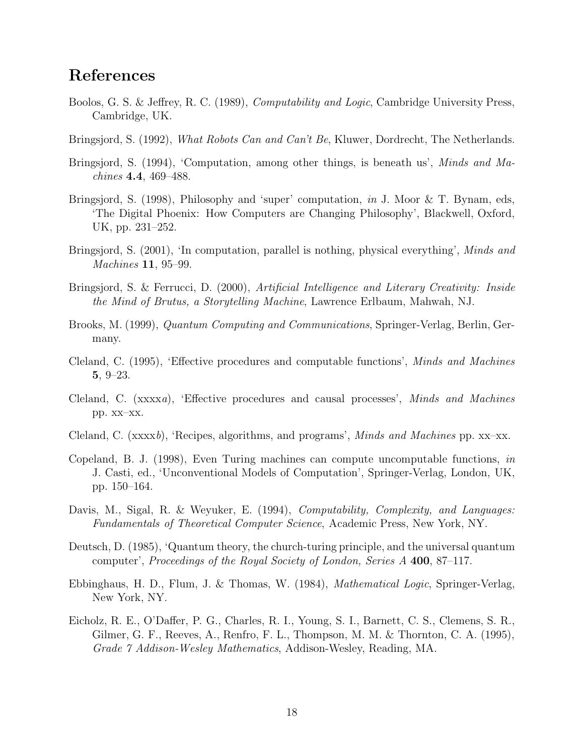## **References**

- Boolos, G. S. & Jeffrey, R. C. (1989), Computability and Logic, Cambridge University Press, Cambridge, UK.
- Bringsjord, S. (1992), What Robots Can and Can't Be, Kluwer, Dordrecht, The Netherlands.
- Bringsjord, S. (1994), 'Computation, among other things, is beneath us', Minds and Machines **4.4**, 469–488.
- Bringsjord, S. (1998), Philosophy and 'super' computation, in J. Moor & T. Bynam, eds, 'The Digital Phoenix: How Computers are Changing Philosophy', Blackwell, Oxford, UK, pp. 231–252.
- Bringsjord, S. (2001), 'In computation, parallel is nothing, physical everything', Minds and Machines **11**, 95–99.
- Bringsjord, S. & Ferrucci, D. (2000), Artificial Intelligence and Literary Creativity: Inside the Mind of Brutus, a Storytelling Machine, Lawrence Erlbaum, Mahwah, NJ.
- Brooks, M. (1999), Quantum Computing and Communications, Springer-Verlag, Berlin, Germany.
- Cleland, C. (1995), 'Effective procedures and computable functions', Minds and Machines **5**, 9–23.
- Cleland, C. (xxxxa), 'Effective procedures and causal processes', Minds and Machines pp. xx–xx.
- Cleland, C. (xxxxb), 'Recipes, algorithms, and programs', *Minds and Machines* pp. xx–xx.
- Copeland, B. J. (1998), Even Turing machines can compute uncomputable functions, in J. Casti, ed., 'Unconventional Models of Computation', Springer-Verlag, London, UK, pp. 150–164.
- Davis, M., Sigal, R. & Weyuker, E. (1994), *Computability, Complexity, and Languages:* Fundamentals of Theoretical Computer Science, Academic Press, New York, NY.
- Deutsch, D. (1985), 'Quantum theory, the church-turing principle, and the universal quantum computer', Proceedings of the Royal Society of London, Series A **400**, 87–117.
- Ebbinghaus, H. D., Flum, J. & Thomas, W. (1984), Mathematical Logic, Springer-Verlag, New York, NY.
- Eicholz, R. E., O'Daffer, P. G., Charles, R. I., Young, S. I., Barnett, C. S., Clemens, S. R., Gilmer, G. F., Reeves, A., Renfro, F. L., Thompson, M. M. & Thornton, C. A. (1995), Grade 7 Addison-Wesley Mathematics, Addison-Wesley, Reading, MA.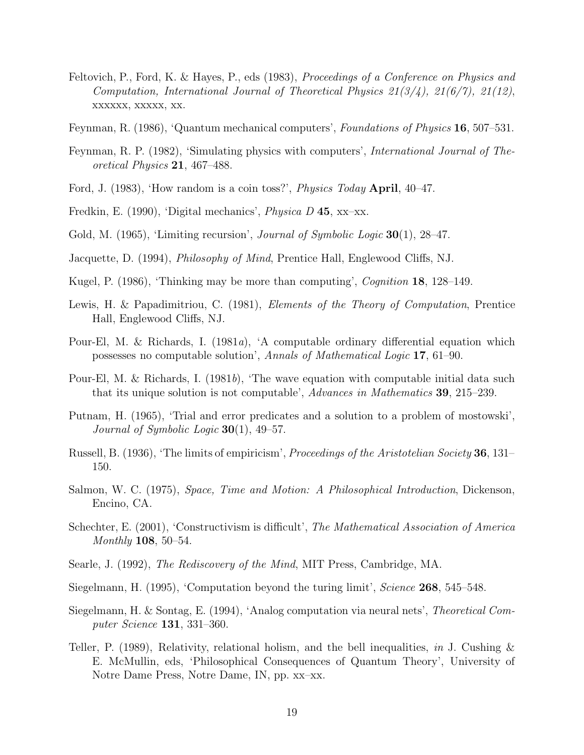- Feltovich, P., Ford, K. & Hayes, P., eds (1983), Proceedings of a Conference on Physics and Computation, International Journal of Theoretical Physics  $21(3/4)$ ,  $21(6/7)$ ,  $21(12)$ , xxxxxx, xxxxx, xx.
- Feynman, R. (1986), 'Quantum mechanical computers', Foundations of Physics **16**, 507–531.
- Feynman, R. P. (1982), 'Simulating physics with computers', International Journal of Theoretical Physics **21**, 467–488.
- Ford, J. (1983), 'How random is a coin toss?', Physics Today **April**, 40–47.
- Fredkin, E. (1990), 'Digital mechanics', Physica D **45**, xx–xx.
- Gold, M. (1965), 'Limiting recursion', Journal of Symbolic Logic **30**(1), 28–47.
- Jacquette, D. (1994), Philosophy of Mind, Prentice Hall, Englewood Cliffs, NJ.
- Kugel, P. (1986), 'Thinking may be more than computing', Cognition **18**, 128–149.
- Lewis, H. & Papadimitriou, C. (1981), Elements of the Theory of Computation, Prentice Hall, Englewood Cliffs, NJ.
- Pour-El, M. & Richards, I. (1981a), 'A computable ordinary differential equation which possesses no computable solution', Annals of Mathematical Logic **17**, 61–90.
- Pour-El, M. & Richards, I. (1981b), 'The wave equation with computable initial data such that its unique solution is not computable', Advances in Mathematics **39**, 215–239.
- Putnam, H. (1965), 'Trial and error predicates and a solution to a problem of mostowski', Journal of Symbolic Logic **30**(1), 49–57.
- Russell, B. (1936), 'The limits of empiricism', Proceedings of the Aristotelian Society **36**, 131– 150.
- Salmon, W. C. (1975), Space, Time and Motion: A Philosophical Introduction, Dickenson, Encino, CA.
- Schechter, E. (2001), 'Constructivism is difficult', The Mathematical Association of America Monthly **108**, 50–54.
- Searle, J. (1992), The Rediscovery of the Mind, MIT Press, Cambridge, MA.
- Siegelmann, H. (1995), 'Computation beyond the turing limit', Science **268**, 545–548.
- Siegelmann, H. & Sontag, E. (1994), 'Analog computation via neural nets', Theoretical Computer Science **131**, 331–360.
- Teller, P. (1989), Relativity, relational holism, and the bell inequalities, in J. Cushing  $\&$ E. McMullin, eds, 'Philosophical Consequences of Quantum Theory', University of Notre Dame Press, Notre Dame, IN, pp. xx–xx.